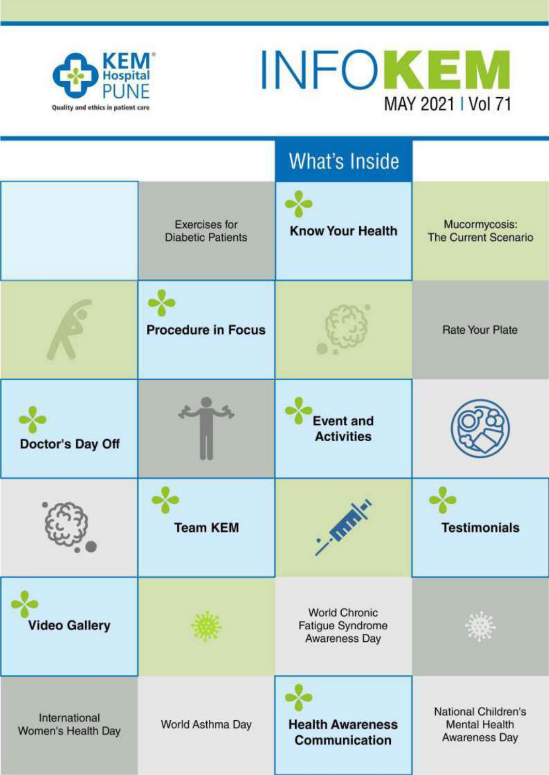



|                                     |                                                  | <b>What's Inside</b>                                      |                                                              |
|-------------------------------------|--------------------------------------------------|-----------------------------------------------------------|--------------------------------------------------------------|
|                                     | <b>Exercises for</b><br><b>Diabetic Patients</b> | <b>Know Your Health</b>                                   | Mucormycosis:<br><b>The Current Scenario</b>                 |
|                                     | <b>Procedure in Focus</b>                        |                                                           | <b>Rate Your Plate</b>                                       |
| Doctor's Day Off                    |                                                  | <b>Event and</b><br><b>Activities</b>                     |                                                              |
|                                     | <b>Team KEM</b>                                  | WIN                                                       | <b>Testimonials</b>                                          |
| <b>Video Gallery</b>                |                                                  | <b>World Chronic</b><br>Fatigue Syndrome<br>Awareness Day |                                                              |
| International<br>Women's Health Day | World Asthma Day                                 | <b>Health Awareness</b><br>Communication                  | National Children's<br><b>Mental Health</b><br>Awareness Day |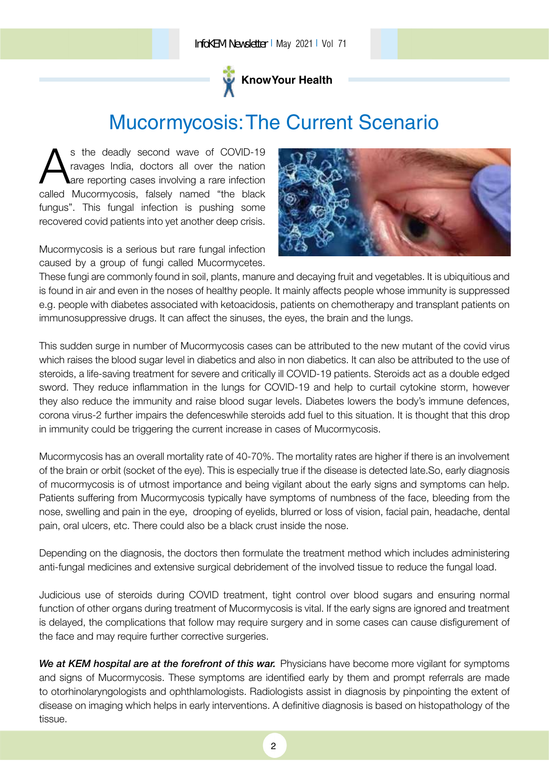

# Mucormycosis:The Current Scenario

S the deadly second wave of COVID-19<br>ravages India, doctors all over the nation<br>called Mucormycosis, falsely named "the black s the deadly second wave of COVID-19 ravages India, doctors all over the nation are reporting cases involving a rare infection fungus". This fungal infection is pushing some recovered covid patients into yet another deep crisis.

Mucormycosis is a serious but rare fungal infection caused by a group of fungi called Mucormycetes.



These fungi are commonly found in soil, plants, manure and decaying fruit and vegetables. It is ubiquitious and is found in air and even in the noses of healthy people. It mainly affects people whose immunity is suppressed e.g. people with diabetes associated with ketoacidosis, patients on chemotherapy and transplant patients on immunosuppressive drugs. It can affect the sinuses, the eyes, the brain and the lungs.

This sudden surge in number of Mucormycosis cases can be attributed to the new mutant of the covid virus which raises the blood sugar level in diabetics and also in non diabetics. It can also be attributed to the use of steroids, a life-saving treatment for severe and critically ill COVID-19 patients. Steroids act as a double edged sword. They reduce inflammation in the lungs for COVID-19 and help to curtail cytokine storm, however they also reduce the immunity and raise blood sugar levels. Diabetes lowers the body's immune defences, corona virus-2 further impairs the defenceswhile steroids add fuel to this situation. It is thought that this drop in immunity could be triggering the current increase in cases of Mucormycosis.

Mucormycosis has an overall mortality rate of 40-70%. The mortality rates are higher if there is an involvement of the brain or orbit (socket of the eye). This is especially true if the disease is detected late.So, early diagnosis of mucormycosis is of utmost importance and being vigilant about the early signs and symptoms can help. Patients suffering from Mucormycosis typically have symptoms of numbness of the face, bleeding from the nose, swelling and pain in the eye, drooping of eyelids, blurred or loss of vision, facial pain, headache, dental pain, oral ulcers, etc. There could also be a black crust inside the nose.

Depending on the diagnosis, the doctors then formulate the treatment method which includes administering anti-fungal medicines and extensive surgical debridement of the involved tissue to reduce the fungal load.

Judicious use of steroids during COVID treatment, tight control over blood sugars and ensuring normal function of other organs during treatment of Mucormycosis is vital. If the early signs are ignored and treatment is delayed, the complications that follow may require surgery and in some cases can cause disfigurement of the face and may require further corrective surgeries.

We at KEM hospital are at the forefront of this war. Physicians have become more vigilant for symptoms and signs of Mucormycosis. These symptoms are identified early by them and prompt referrals are made to otorhinolaryngologists and ophthlamologists. Radiologists assist in diagnosis by pinpointing the extent of disease on imaging which helps in early interventions. A definitive diagnosis is based on histopathology of the tissue.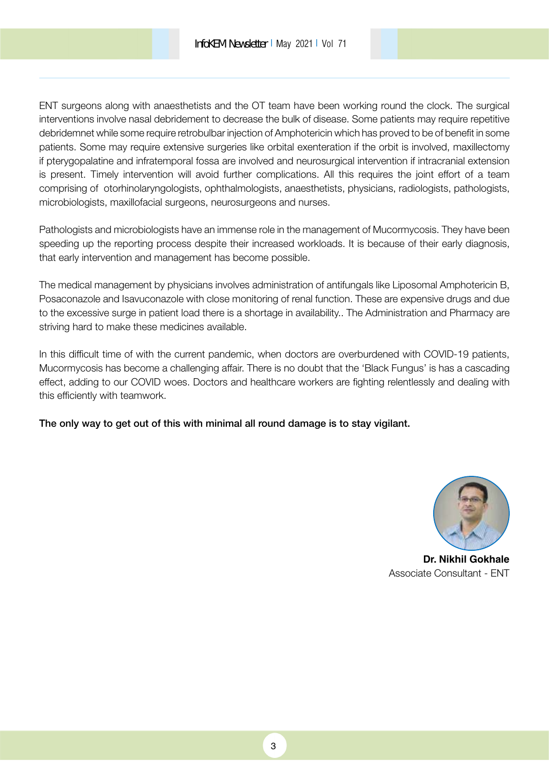ENT surgeons along with anaesthetists and the OT team have been working round the clock. The surgical interventions involve nasal debridement to decrease the bulk of disease. Some patients may require repetitive debridemnet while some require retrobulbar injection of Amphotericin which has proved to be of benefit in some patients. Some may require extensive surgeries like orbital exenteration if the orbit is involved, maxillectomy if pterygopalatine and infratemporal fossa are involved and neurosurgical intervention if intracranial extension is present. Timely intervention will avoid further complications. All this requires the joint effort of a team comprising of otorhinolaryngologists, ophthalmologists, anaesthetists, physicians, radiologists, pathologists, microbiologists, maxillofacial surgeons, neurosurgeons and nurses.

Pathologists and microbiologists have an immense role in the management of Mucormycosis. They have been speeding up the reporting process despite their increased workloads. It is because of their early diagnosis, that early intervention and management has become possible.

The medical management by physicians involves administration of antifungals like Liposomal Amphotericin B, Posaconazole and Isavuconazole with close monitoring of renal function. These are expensive drugs and due to the excessive surge in patient load there is a shortage in availability.. The Administration and Pharmacy are striving hard to make these medicines available.

In this difficult time of with the current pandemic, when doctors are overburdened with COVID-19 patients, Mucormycosis has become a challenging affair. There is no doubt that the 'Black Fungus' is has a cascading effect, adding to our COVID woes. Doctors and healthcare workers are fighting relentlessly and dealing with this efficiently with teamwork.

The only way to get out of this with minimal all round damage is to stay vigilant.



**Dr. Nikhil Gokhale** Associate Consultant - ENT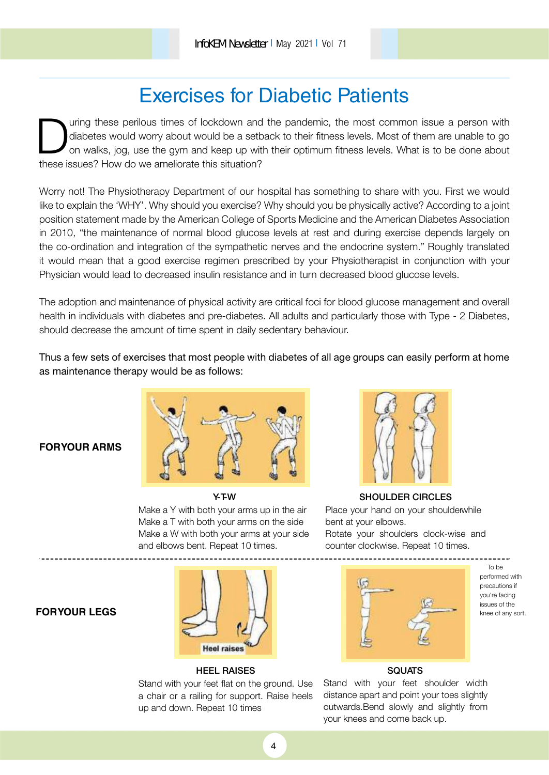# Exercises for Diabetic Patients

Uning these perilous times of lockdown and diabetes would worry about would be a set<br>on walks, jog, use the gym and keep up with these issues? How do we ameliorate this situation? uring these perilous times of lockdown and the pandemic, the most common issue a person with diabetes would worry about would be a setback to their fitness levels. Most of them are unable to go on walks, jog, use the gym and keep up with their optimum fitness levels. What is to be done about

Worry not! The Physiotherapy Department of our hospital has something to share with you. First we would like to explain the 'WHY'. Why should you exercise? Why should you be physically active? According to a joint position statement made by the American College of Sports Medicine and the American Diabetes Association in 2010, "the maintenance of normal blood glucose levels at rest and during exercise depends largely on the co-ordination and integration of the sympathetic nerves and the endocrine system." Roughly translated it would mean that a good exercise regimen prescribed by your Physiotherapist in conjunction with your Physician would lead to decreased insulin resistance and in turn decreased blood glucose levels.

The adoption and maintenance of physical activity are critical foci for blood glucose management and overall health in individuals with diabetes and pre-diabetes. All adults and particularly those with Type - 2 Diabetes, should decrease the amount of time spent in daily sedentary behaviour.

Thus a few sets of exercises that most people with diabetes of all age groups can easily perform at home as maintenance therapy would be as follows:

### **FOR YOUR ARMS**



#### Y-T-W

Make a Y with both your arms up in the air Make a T with both your arms on the side Make a W with both your arms at your side and elbows bent. Repeat 10 times.



### SHOULDER CIRCLES Place your hand on your shoulder while

bent at your elbows. Rotate your shoulders clock-wise and counter clockwise. Repeat 10 times.

### **FOR YOUR LEGS**



#### HEEL RAISES

Stand with your feet flat on the ground. Use a chair or a railing for support. Raise heels up and down. Repeat 10 times



To be performed with precautions if you're facing issues of the knee of any sort.

### **SQUATS**

Stand with your feet shoulder width distance apart and point your toes slightly outwards.Bend slowly and slightly from your knees and come back up.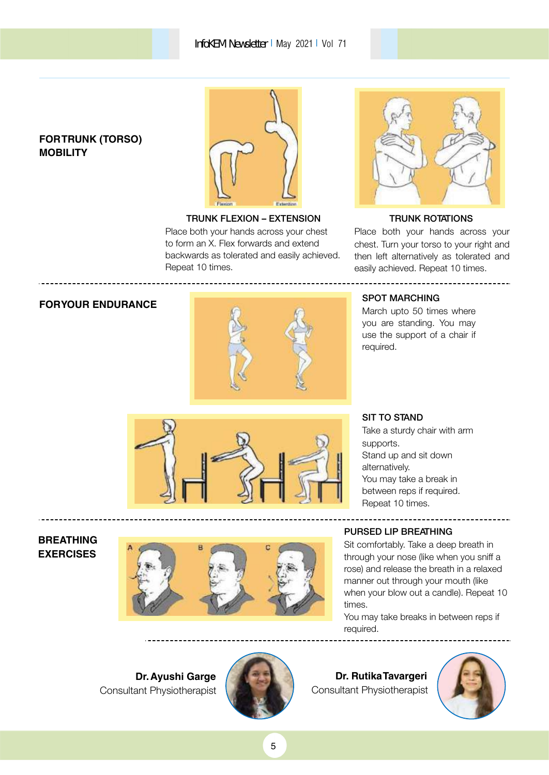### **FOR TRUNK (TORSO) MOBILITY**



TRUNK FLEXION – EXTENSION Place both your hands across your chest to form an X. Flex forwards and extend backwards as tolerated and easily achieved. Repeat 10 times.



### TRUNK ROTATIONS

Place both your hands across your chest. Turn your torso to your right and then left alternatively as tolerated and easily achieved. Repeat 10 times.

----------------------------------



March upto 50 times where you are standing. You may use the support of a chair if required.



### SIT TO STAND

Take a sturdy chair with arm supports. Stand up and sit down alternatively. You may take a break in between reps if required. Repeat 10 times.

#### **BREATHING EXERCISES**



### PURSED LIP BREATHING

Sit comfortably. Take a deep breath in through your nose (like when you sniff a rose) and release the breath in a relaxed manner out through your mouth (like when your blow out a candle). Repeat 10 times.

You may take breaks in between reps if required.

**Dr.Ayushi Garge**  Consultant Physiotherapist



**Dr. Rutika Tavargeri**  Consultant Physiotherapist

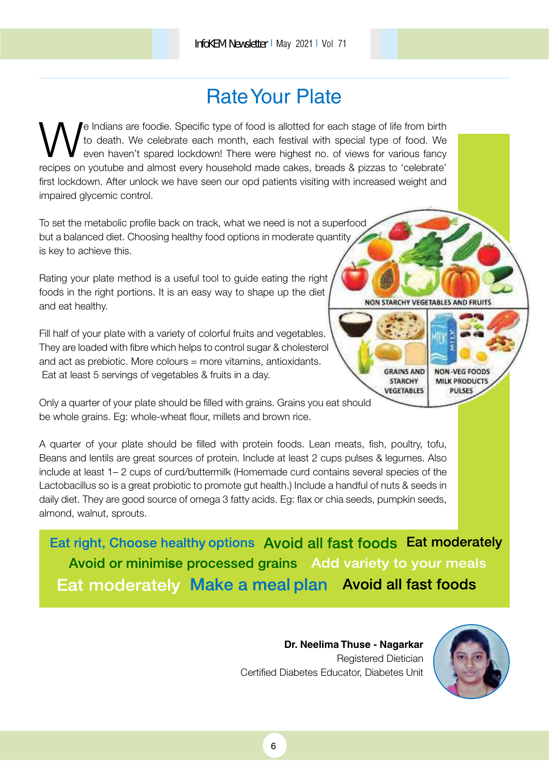# Rate Your Plate

We Indians are foodie. Specific type of food is allotted for each stage of life from birth<br>to death. We celebrate each month, each festival with special type of food. We<br>recipes on youtube and almost every household made c e Indians are foodie. Specific type of food is allotted for each stage of life from birth to death. We celebrate each month, each festival with special type of food. We even haven't spared lockdown! There were highest no. of views for various fancy first lockdown. After unlock we have seen our opd patients visiting with increased weight and impaired glycemic control.

To set the metabolic profile back on track, what we need is not a superfood but a balanced diet. Choosing healthy food options in moderate quantity is key to achieve this.

Rating your plate method is a useful tool to guide eating the right foods in the right portions. It is an easy way to shape up the diet and eat healthy.

Fill half of your plate with a variety of colorful fruits and vegetables. They are loaded with fibre which helps to control sugar & cholesterol and act as prebiotic. More colours = more vitamins, antioxidants. Eat at least 5 servings of vegetables & fruits in a day.

Only a quarter of your plate should be filled with grains. Grains you eat should be whole grains. Eg: whole-wheat flour, millets and brown rice.

A quarter of your plate should be filled with protein foods. Lean meats, fish, poultry, tofu, Beans and lentils are great sources of protein. Include at least 2 cups pulses & legumes. Also include at least 1– 2 cups of curd/buttermilk (Homemade curd contains several species of the Lactobacillus so is a great probiotic to promote gut health.) Include a handful of nuts & seeds in daily diet. They are good source of omega 3 fatty acids. Eg: flax or chia seeds, pumpkin seeds, almond, walnut, sprouts.

Eat right, Choose healthy options Avoid all fast foods Eat moderately Avoid or minimise processed grains Add variety to your meals Eat moderately Make a meal plan Avoid all fast foods

> **Dr. Neelima Thuse - Nagarkar**  Registered Dietician Certified Diabetes Educator, Diabetes Unit



**NON STARCHY VEGETABLES AND FRUITS** 

**GRAINS AND** 

**STARCHY** 

VEGETABLES

**NON-VEG FOODS MILK PRODUCTS PULSES**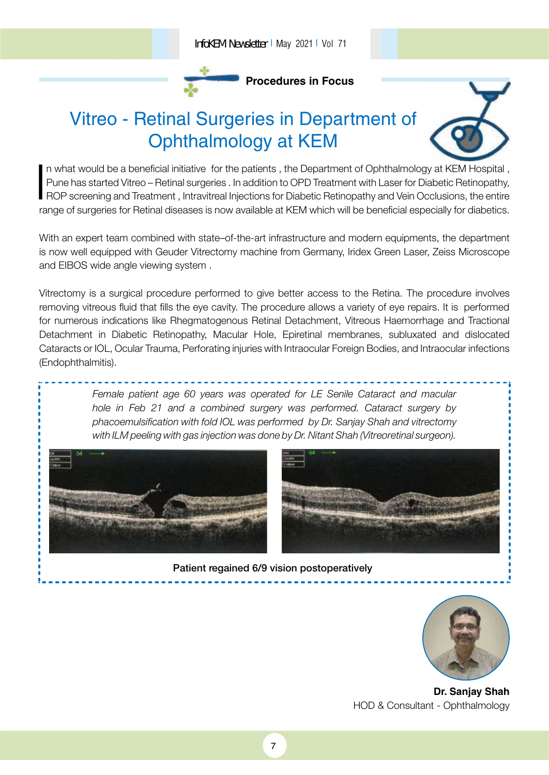

**Procedures in Focus**

# Vitreo - Retinal Surgeries in Department of Ophthalmology at KEM



With an expert team combined with state–of-the-art infrastructure and modern equipments, the department is now well equipped with Geuder Vitrectomy machine from Germany, Iridex Green Laser, Zeiss Microscope and EIBOS wide angle viewing system .

Vitrectomy is a surgical procedure performed to give better access to the Retina. The procedure involves removing vitreous fluid that fills the eye cavity. The procedure allows a variety of eye repairs. It is performed for numerous indications like Rhegmatogenous Retinal Detachment, Vitreous Haemorrhage and Tractional Detachment in Diabetic Retinopathy, Macular Hole, Epiretinal membranes, subluxated and dislocated Cataracts or IOL, Ocular Trauma, Perforating injuries with Intraocular Foreign Bodies, and Intraocular infections (Endophthalmitis).

> Female patient age 60 years was operated for LE Senile Cataract and macular hole in Feb 21 and a combined surgery was performed. Cataract surgery by phacoemulsification with fold IOL was performed by Dr. Sanjay Shah and vitrectomy with ILM peeling with gas injection was done by Dr. Nitant Shah (Vitreoretinal surgeon).





Patient regained 6/9 vision postoperatively

7



**Dr. Sanjay Shah** HOD & Consultant - Ophthalmology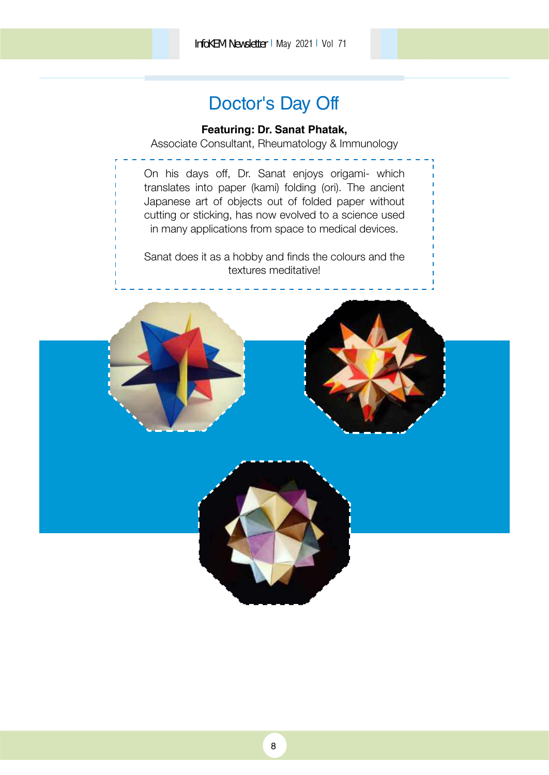InfoKEM Newsletter I May 2021 I Vol 71

## Doctor's Day Off

### **Featuring: Dr. Sanat Phatak,**

Associate Consultant, Rheumatology & Immunology

On his days off, Dr. Sanat enjoys origami- which translates into paper (kami) folding (ori). The ancient Japanese art of objects out of folded paper without cutting or sticking, has now evolved to a science used in many applications from space to medical devices.

Sanat does it as a hobby and finds the colours and the textures meditative!

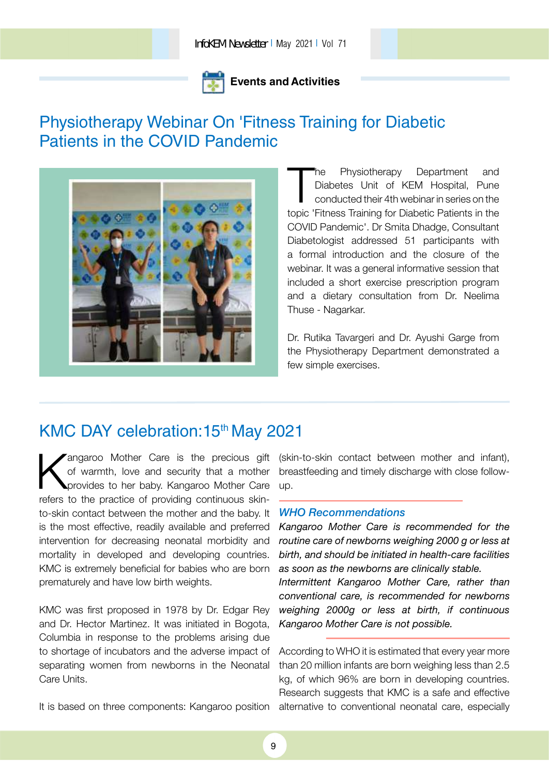### **Events and Activities**

### Physiotherapy Webinar On 'Fitness Training for Diabetic Patients in the COVID Pandemic



The Physiotherapy Department and<br>Diabetes Unit of KEM Hospital, Pune<br>conducted their 4th webinar in series on the<br>topic 'Fitness Training for Diabetic Patients in the he Physiotherapy Department and Diabetes Unit of KEM Hospital, Pune conducted their 4th webinar in series on the COVID Pandemic'. Dr Smita Dhadge, Consultant Diabetologist addressed 51 participants with a formal introduction and the closure of the webinar. It was a general informative session that included a short exercise prescription program and a dietary consultation from Dr. Neelima Thuse - Nagarkar.

Dr. Rutika Tavargeri and Dr. Ayushi Garge from the Physiotherapy Department demonstrated a few simple exercises.

### KMC DAY celebration: 15<sup>th</sup> May 2021

angaroo Mother Care is the precious gift<br>of warmth, love and security that a mother<br>provides to her baby. Kangaroo Mother Care<br>refers to the practice of providing continuous skinangaroo Mother Care is the precious gift of warmth, love and security that a mother provides to her baby. Kangaroo Mother Care to-skin contact between the mother and the baby. It is the most effective, readily available and preferred intervention for decreasing neonatal morbidity and mortality in developed and developing countries. KMC is extremely beneficial for babies who are born prematurely and have low birth weights.

KMC was first proposed in 1978 by Dr. Edgar Rey and Dr. Hector Martinez. It was initiated in Bogota, Columbia in response to the problems arising due to shortage of incubators and the adverse impact of separating women from newborns in the Neonatal Care Units.

It is based on three components: Kangaroo position

(skin-to-skin contact between mother and infant), breastfeeding and timely discharge with close followup.

#### WHO Recommendations

Kangaroo Mother Care is recommended for the routine care of newborns weighing 2000 g or less at birth, and should be initiated in health-care facilities as soon as the newborns are clinically stable. Intermittent Kangaroo Mother Care, rather than

conventional care, is recommended for newborns weighing 2000g or less at birth, if continuous Kangaroo Mother Care is not possible.

According to WHO it is estimated that every year more than 20 million infants are born weighing less than 2.5 kg, of which 96% are born in developing countries. Research suggests that KMC is a safe and effective alternative to conventional neonatal care, especially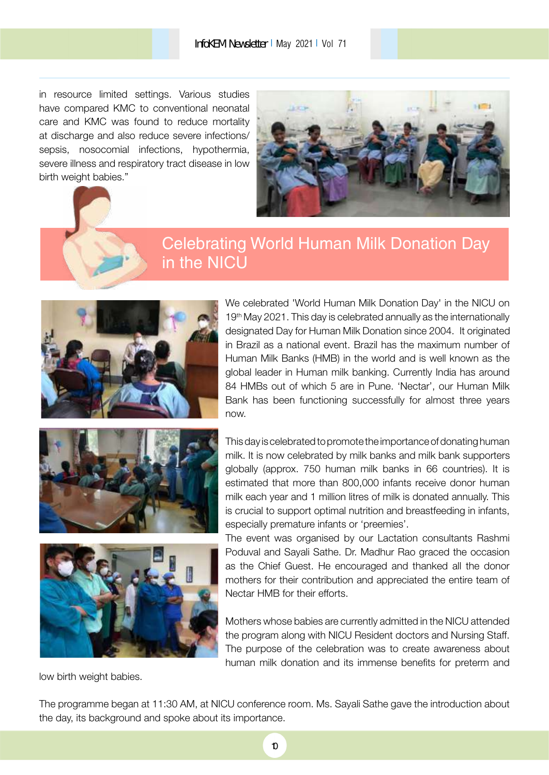in resource limited settings. Various studies have compared KMC to conventional neonatal care and KMC was found to reduce mortality at discharge and also reduce severe infections/ sepsis, nosocomial infections, hypothermia, severe illness and respiratory tract disease in low birth weight babies."



## Celebrating World Human Milk Donation Day in the NICU



We celebrated 'World Human Milk Donation Day' in the NICU on  $19<sup>th</sup>$  May 2021. This day is celebrated annually as the internationally designated Day for Human Milk Donation since 2004. It originated in Brazil as a national event. Brazil has the maximum number of Human Milk Banks (HMB) in the world and is well known as the global leader in Human milk banking. Currently India has around 84 HMBs out of which 5 are in Pune. 'Nectar', our Human Milk Bank has been functioning successfully for almost three years now.





low birth weight babies.

This day is celebrated to promote the importance of donating human milk. It is now celebrated by milk banks and milk bank supporters globally (approx. 750 human milk banks in 66 countries). It is estimated that more than 800,000 infants receive donor human milk each year and 1 million litres of milk is donated annually. This is crucial to support optimal nutrition and breastfeeding in infants, especially premature infants or 'preemies'.

The event was organised by our Lactation consultants Rashmi Poduval and Sayali Sathe. Dr. Madhur Rao graced the occasion as the Chief Guest. He encouraged and thanked all the donor mothers for their contribution and appreciated the entire team of Nectar HMB for their efforts.

Mothers whose babies are currently admitted in the NICU attended the program along with NICU Resident doctors and Nursing Staff. The purpose of the celebration was to create awareness about human milk donation and its immense benefits for preterm and

The programme began at 11:30 AM, at NICU conference room. Ms. Sayali Sathe gave the introduction about the day, its background and spoke about its importance.

10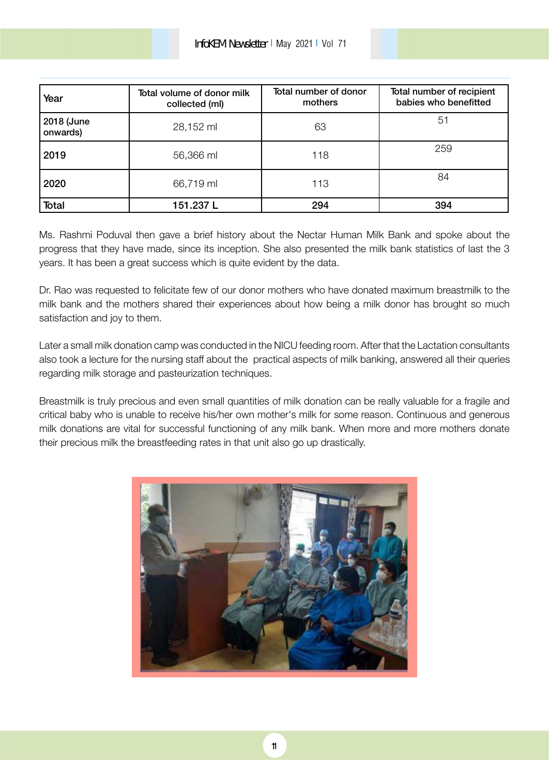| Year                   | Total volume of donor milk<br>collected (ml) | Total number of donor<br>mothers | Total number of recipient<br>babies who benefitted |
|------------------------|----------------------------------------------|----------------------------------|----------------------------------------------------|
| 2018 (June<br>onwards) | 28,152 ml                                    | 63                               | 51                                                 |
| 2019                   | 56,366 ml                                    | 118                              | 259                                                |
| 2020                   | 66,719 ml                                    | 113                              | 84                                                 |
| Total                  | 151.237L                                     | 294                              | 394                                                |

Ms. Rashmi Poduval then gave a brief history about the Nectar Human Milk Bank and spoke about the progress that they have made, since its inception. She also presented the milk bank statistics of last the 3 years. It has been a great success which is quite evident by the data.

Dr. Rao was requested to felicitate few of our donor mothers who have donated maximum breastmilk to the milk bank and the mothers shared their experiences about how being a milk donor has brought so much satisfaction and joy to them.

Later a small milk donation camp was conducted in the NICU feeding room. After that the Lactation consultants also took a lecture for the nursing staff about the practical aspects of milk banking, answered all their queries regarding milk storage and pasteurization techniques.

Breastmilk is truly precious and even small quantities of milk donation can be really valuable for a fragile and critical baby who is unable to receive his/her own mother's milk for some reason. Continuous and generous milk donations are vital for successful functioning of any milk bank. When more and more mothers donate their precious milk the breastfeeding rates in that unit also go up drastically.

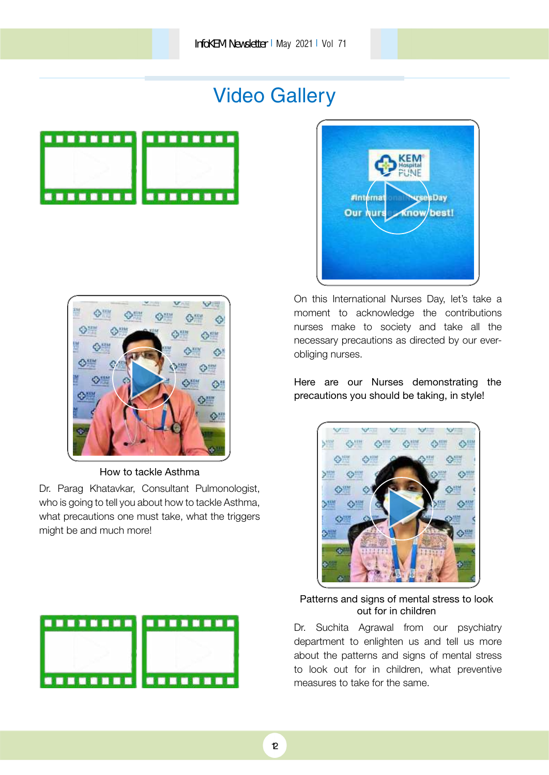# Video Gallery





On this International Nurses Day, let's take a moment to acknowledge the contributions nurses make to society and take all the necessary precautions as directed by our everobliging nurses.

Here are our Nurses demonstrating the precautions you should be taking, in style!



### Patterns and signs of mental stress to look out for in children

Dr. Suchita Agrawal from our psychiatry department to enlighten us and tell us more about the patterns and signs of mental stress to look out for in children, what preventive measures to take for the same.



How to tackle Asthma

Dr. Parag Khatavkar, Consultant Pulmonologist, who is going to tell you about how to tackle Asthma, what precautions one must take, what the triggers might be and much more!

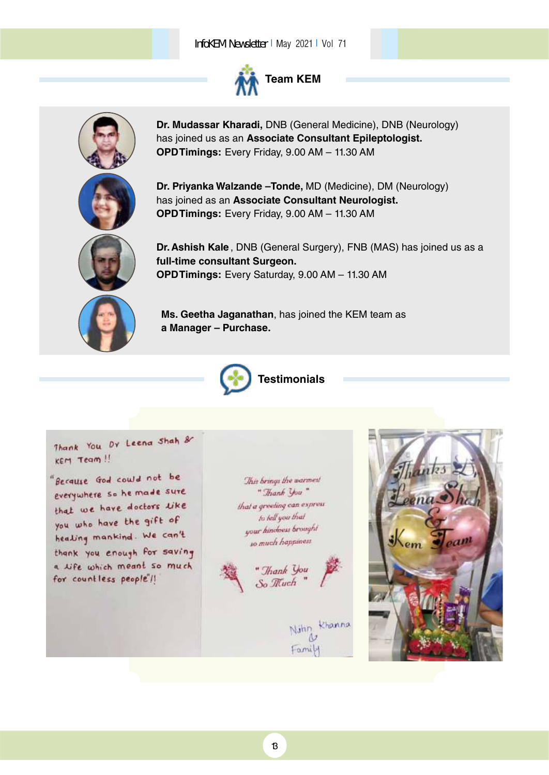### InfoKEM Newsletter I May 2021 I Vol 71



**Team KEM**



**Dr. Mudassar Kharadi,** DNB (General Medicine), DNB (Neurology) has joined us as an **Associate Consultant Epileptologist. OPD Timings:** Every Friday, 9.00 AM – 11.30 AM

**Dr. Priyanka Walzande –Tonde,** MD (Medicine), DM (Neurology) has joined as an **Associate Consultant Neurologist. OPD Timings:** Every Friday, 9.00 AM – 11.30 AM



**Dr.Ashish Kale** , DNB (General Surgery), FNB (MAS) has joined us as a **full-time consultant Surgeon. OPD Timings:** Every Saturday, 9.00 AM – 11.30 AM

**Ms. Geetha Jaganathan**, has joined the KEM team as **a Manager – Purchase.**



**Testimonials**

Thank You Dy Leena Shah & KEM Team !!

"Because God could not be everywhere so he made sure that we have doctors like you who have the gift of healing mankind. We can't thank you enough for saving a life which meant so much for countless people'll

This brings the warmest " Thank You" that a greeting can express to fell you that your kindness brought so much happiness.



Famil

khanna

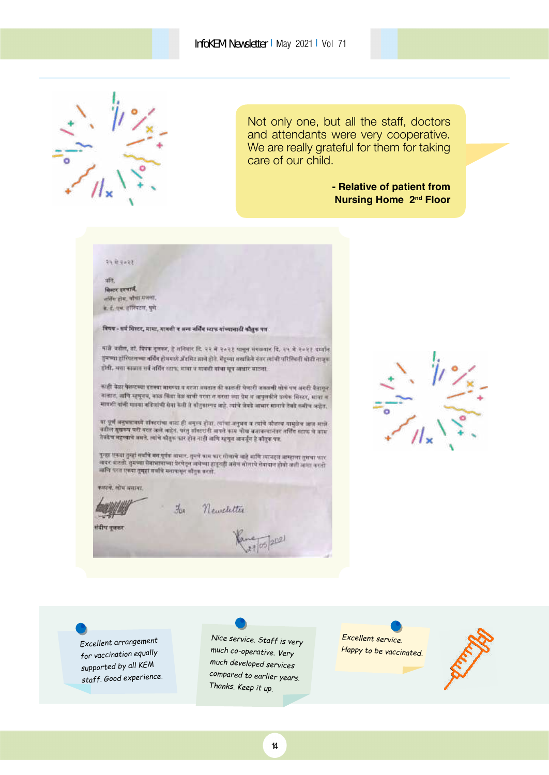

Not only one, but all the staff, doctors and attendants were very cooperative. We are really grateful for them for taking care of our child.

> **- Relative of patient from Nursing Home 2<sup>nd</sup> Floor**

#### 34 में २०२१

ufit. विस्टर इनचार्ने. जरिंग होस, भौमा मजला, के. हे. एक. हॉस्पिटल, पूर्ण

विषय - सर्व जिस्टर, मामा, मावती व अन्य नर्सिंग स्टाफ गांध्यासाठी कौतुक पत्र

माजे कहील, डॉ. दिपक नुलकर, हे शनिवार दि. २२ मे २०२१ पासून संगळवार दि. २५ मे २०२१ दार्थान तुमच्या हॉस्पिटलच्या नर्विंग होममध्ये ॲंडमिट झाले होते. मेंडूच्या शराकिये नंतर त्यांची परिस्थिती श्रीती ताजूबा होती, अत्रा काळात सर्व नर्सिंग स्टाफ, मामा प मावती बांचा सूच आधार बाटला.

काही बेळा फेस्टब्या इतक्या मागण्या व सरजा बसतात की काळती घेणारी अवळची सोकं पण अगरी पैनागुन जातात, वाणि म्हणूनच, काळ किंदा बेळ वाणी परवा *न करता च्या पेम व वापुलकीने प*त्येक सिस्टर, मात्रा व माण्ठी वांनी मास्या नदिलांची सेवा केली ते कौतुकास्पद आहे. त्यांचे जेवडे आभार सानाचे तेवडे कमीच आहेत.

का पूर्ण अनुभवासध्ये बॉक्टरांचा बाटा ही अगुरुव होता. त्यांचा अनुभव व त्यांचे कौताव्य वासुक्षेत्र आज मात्रे वडील सुखरूप घरी परत अले आहेत. परंतु डॉक्टरांनी आपले काम चौध बनावल्यानंतर तर्क्ति स्टाफ चे काम<br>नेवडेच महावाचे असते. त्यांचे श्रीतुक फार होत नाही जलि म्हणून अवर्जून हे कौतुक पत्र.

पूल्हा एकडा तुम्हां सर्वांचे मनःपूर्वतः तामारः, तुमये काम कार मोताचे आहे आणि त्याचढ्त आम्हाला तुमचा कार<br>अवसर बाटती, तुमच्या सेवायावाच्या प्रेरचेतून असेच्या हातूनही असेन सोलाचे सेवायान होतो अशी आशा करतो<br>असीर प्रस्त एकडा तम ≡िय परत एकदा तुम्हा सर्वामे मनापासून कौतुक करतो.

Newsletter

कडाने. शोध बनावा.



五



*Excellent arrangemen<sup>t</sup> for vaccination equally supported by all KEM staff. Good experience.*

*Nice service. Staff is very much co-operative. Very much developed services compared to earlier years. Thanks. Keep it up.*

*Excellent service. Happy to be vaccinated.*



 $202$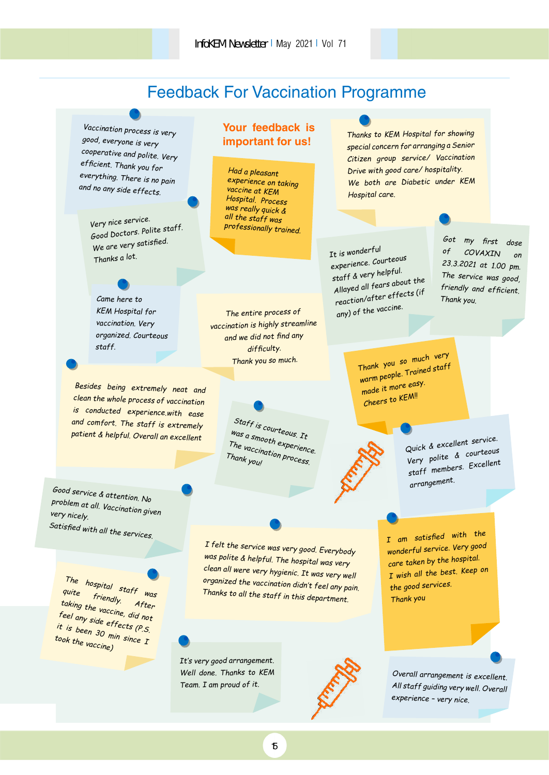### Feedback For Vaccination Programme